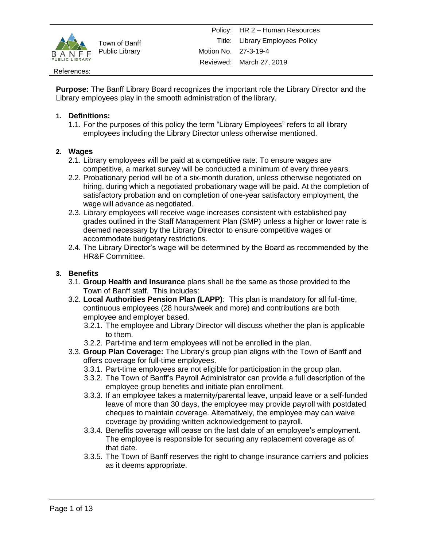

#### References:

**Purpose:** The Banff Library Board recognizes the important role the Library Director and the Library employees play in the smooth administration of the library.

### **1. Definitions:**

1.1. For the purposes of this policy the term "Library Employees" refers to all library employees including the Library Director unless otherwise mentioned.

### **2. Wages**

- 2.1. Library employees will be paid at a competitive rate. To ensure wages are competitive, a market survey will be conducted a minimum of every three years.
- 2.2. Probationary period will be of a six-month duration, unless otherwise negotiated on hiring, during which a negotiated probationary wage will be paid. At the completion of satisfactory probation and on completion of one-year satisfactory employment, the wage will advance as negotiated.
- 2.3. Library employees will receive wage increases consistent with established pay grades outlined in the Staff Management Plan (SMP) unless a higher or lower rate is deemed necessary by the Library Director to ensure competitive wages or accommodate budgetary restrictions.
- 2.4. The Library Director's wage will be determined by the Board as recommended by the HR&F Committee.

#### **3. Benefits**

- 3.1. **Group Health and Insurance** plans shall be the same as those provided to the Town of Banff staff. This includes:
- 3.2. **Local Authorities Pension Plan (LAPP)**: This plan is mandatory for all full-time, continuous employees (28 hours/week and more) and contributions are both employee and employer based.
	- 3.2.1. The employee and Library Director will discuss whether the plan is applicable to them.
	- 3.2.2. Part-time and term employees will not be enrolled in the plan.
- 3.3. **Group Plan Coverage:** The Library's group plan aligns with the Town of Banff and offers coverage for full-time employees.
	- 3.3.1. Part-time employees are not eligible for participation in the group plan.
	- 3.3.2. The Town of Banff's Payroll Administrator can provide a full description of the employee group benefits and initiate plan enrollment.
	- 3.3.3. If an employee takes a maternity/parental leave, unpaid leave or a self-funded leave of more than 30 days, the employee may provide payroll with postdated cheques to maintain coverage. Alternatively, the employee may can waive coverage by providing written acknowledgement to payroll.
	- 3.3.4. Benefits coverage will cease on the last date of an employee's employment. The employee is responsible for securing any replacement coverage as of that date.
	- 3.3.5. The Town of Banff reserves the right to change insurance carriers and policies as it deems appropriate.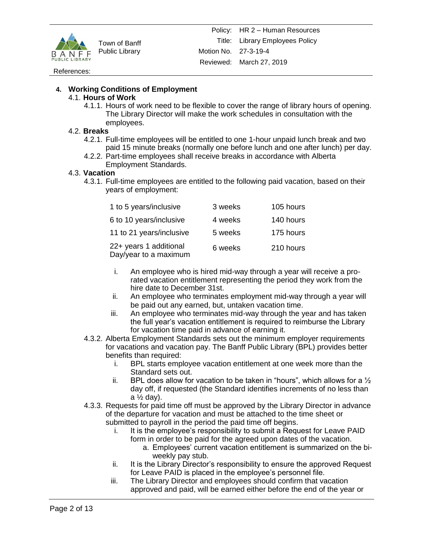

#### References:

### **4. Working Conditions of Employment**

#### 4.1. **Hours of Work**

4.1.1. Hours of work need to be flexible to cover the range of library hours of opening. The Library Director will make the work schedules in consultation with the employees.

#### 4.2. **Breaks**

- 4.2.1. Full-time employees will be entitled to one 1-hour unpaid lunch break and two paid 15 minute breaks (normally one before lunch and one after lunch) per day.
- 4.2.2. Part-time employees shall receive breaks in accordance with Alberta Employment Standards.

#### 4.3. **Vacation**

4.3.1. Full-time employees are entitled to the following paid vacation, based on their years of employment:

| 1 to 5 years/inclusive                          | 3 weeks | 105 hours |
|-------------------------------------------------|---------|-----------|
| 6 to 10 years/inclusive                         | 4 weeks | 140 hours |
| 11 to 21 years/inclusive                        | 5 weeks | 175 hours |
| 22+ years 1 additional<br>Day/year to a maximum | 6 weeks | 210 hours |

- i. An employee who is hired mid-way through a year will receive a prorated vacation entitlement representing the period they work from the hire date to December 31st.
- ii. An employee who terminates employment mid-way through a year will be paid out any earned, but, untaken vacation time.
- iii. An employee who terminates mid-way through the year and has taken the full year's vacation entitlement is required to reimburse the Library for vacation time paid in advance of earning it.
- 4.3.2. Alberta Employment Standards sets out the minimum employer requirements for vacations and vacation pay. The Banff Public Library (BPL) provides better benefits than required:
	- i. BPL starts employee vacation entitlement at one week more than the Standard sets out.
	- ii. BPL does allow for vacation to be taken in "hours", which allows for a  $\frac{1}{2}$ day off, if requested (the Standard identifies increments of no less than  $a \frac{1}{2}$  day).
- 4.3.3. Requests for paid time off must be approved by the Library Director in advance of the departure for vacation and must be attached to the time sheet or submitted to payroll in the period the paid time off begins.
	- i. It is the employee's responsibility to submit a Request for Leave PAID form in order to be paid for the agreed upon dates of the vacation.
		- a. Employees' current vacation entitlement is summarized on the biweekly pay stub.
	- ii. It is the Library Director's responsibility to ensure the approved Request for Leave PAID is placed in the employee's personnel file.
	- iii. The Library Director and employees should confirm that vacation approved and paid, will be earned either before the end of the year or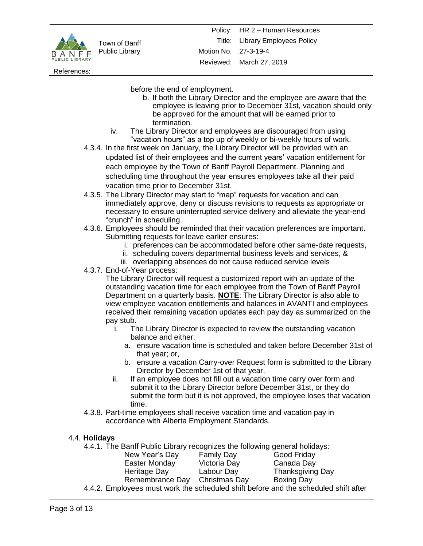

References:

before the end of employment.

- b. If both the Library Director and the employee are aware that the employee is leaving prior to December 31st, vacation should only be approved for the amount that will be earned prior to termination.
- iv. The Library Director and employees are discouraged from using "vacation hours" as a top up of weekly or bi-weekly hours of work.
- 4.3.4. In the first week on January, the Library Director will be provided with an updated list of their employees and the current years' vacation entitlement for each employee by the Town of Banff Payroll Department. Planning and scheduling time throughout the year ensures employees take all their paid vacation time prior to December 31st.
- 4.3.5. The Library Director may start to "map" requests for vacation and can immediately approve, deny or discuss revisions to requests as appropriate or necessary to ensure uninterrupted service delivery and alleviate the year-end "crunch" in scheduling.
- 4.3.6. Employees should be reminded that their vacation preferences are important. Submitting requests for leave earlier ensures:
	- i. preferences can be accommodated before other same-date requests,
	- ii. scheduling covers departmental business levels and services, &
	- iii. overlapping absences do not cause reduced service levels
- 4.3.7. End-of-Year process:

The Library Director will request a customized report with an update of the outstanding vacation time for each employee from the Town of Banff Payroll Department on a quarterly basis. **NOTE**: The Library Director is also able to view employee vacation entitlements and balances in AVANTI and employees received their remaining vacation updates each pay day as summarized on the pay stub.

- i. The Library Director is expected to review the outstanding vacation balance and either:
	- a. ensure vacation time is scheduled and taken before December 31st of that year; or,
	- b. ensure a vacation Carry-over Request form is submitted to the Library Director by December 1st of that year.
- ii. If an employee does not fill out a vacation time carry over form and submit it to the Library Director before December 31st, or they do submit the form but it is not approved, the employee loses that vacation time.
- 4.3.8. Part-time employees shall receive vacation time and vacation pay in accordance with Alberta Employment Standards.

## 4.4. **Holidays**

4.4.1. The Banff Public Library recognizes the following general holidays:

| New Year's Day                                                                  | <b>Family Day</b> | Good Friday             |
|---------------------------------------------------------------------------------|-------------------|-------------------------|
| Easter Monday                                                                   | Victoria Day      | Canada Day              |
| Heritage Day                                                                    | Labour Day        | <b>Thanksgiving Day</b> |
| Remembrance Day Christmas Day                                                   |                   | Boxing Day              |
| 4.2. Employees must work the scheduled shift before and the scheduled shift aft |                   |                         |

4.4.2. Employees must work the scheduled shift before and the scheduled shift after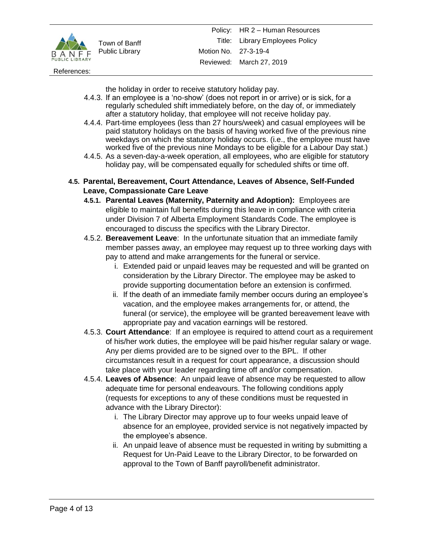

References:

the holiday in order to receive statutory holiday pay.

- 4.4.3. If an employee is a 'no-show' (does not report in or arrive) or is sick, for a regularly scheduled shift immediately before, on the day of, or immediately after a statutory holiday, that employee will not receive holiday pay.
- 4.4.4. Part-time employees (less than 27 hours/week) and casual employees will be paid statutory holidays on the basis of having worked five of the previous nine weekdays on which the statutory holiday occurs. (i.e., the employee must have worked five of the previous nine Mondays to be eligible for a Labour Day stat.)
- 4.4.5. As a seven-day-a-week operation, all employees, who are eligible for statutory holiday pay, will be compensated equally for scheduled shifts or time off.
- **4.5. Parental, Bereavement, Court Attendance, Leaves of Absence, Self-Funded Leave, Compassionate Care Leave**
	- **4.5.1. Parental Leaves (Maternity, Paternity and Adoption):** Employees are eligible to maintain full benefits during this leave in compliance with criteria under Division 7 of Alberta Employment Standards Code. The employee is encouraged to discuss the specifics with the Library Director.
	- 4.5.2. **Bereavement Leave**: In the unfortunate situation that an immediate family member passes away, an employee may request up to three working days with pay to attend and make arrangements for the funeral or service.
		- i. Extended paid or unpaid leaves may be requested and will be granted on consideration by the Library Director. The employee may be asked to provide supporting documentation before an extension is confirmed.
		- ii. If the death of an immediate family member occurs during an employee's vacation, and the employee makes arrangements for, or attend, the funeral (or service), the employee will be granted bereavement leave with appropriate pay and vacation earnings will be restored.
	- 4.5.3. **Court Attendance**: If an employee is required to attend court as a requirement of his/her work duties, the employee will be paid his/her regular salary or wage. Any per diems provided are to be signed over to the BPL. If other circumstances result in a request for court appearance, a discussion should take place with your leader regarding time off and/or compensation.
	- 4.5.4. **Leaves of Absence**: An unpaid leave of absence may be requested to allow adequate time for personal endeavours. The following conditions apply (requests for exceptions to any of these conditions must be requested in advance with the Library Director):
		- i. The Library Director may approve up to four weeks unpaid leave of absence for an employee, provided service is not negatively impacted by the employee's absence.
		- ii. An unpaid leave of absence must be requested in writing by submitting a Request for Un-Paid Leave to the Library Director, to be forwarded on approval to the Town of Banff payroll/benefit administrator.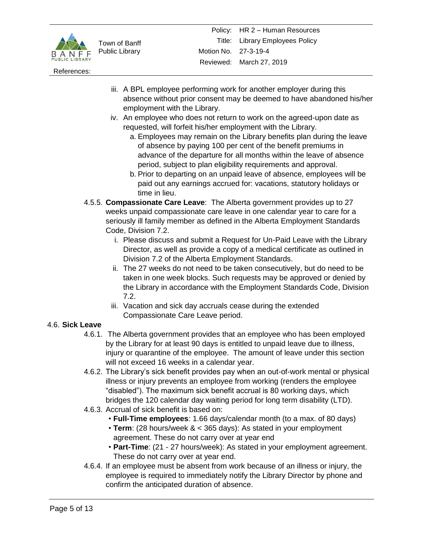

References:

- iii. A BPL employee performing work for another employer during this absence without prior consent may be deemed to have abandoned his/her employment with the Library.
- iv. An employee who does not return to work on the agreed-upon date as requested, will forfeit his/her employment with the Library.
	- a. Employees may remain on the Library benefits plan during the leave of absence by paying 100 per cent of the benefit premiums in advance of the departure for all months within the leave of absence period, subject to plan eligibility requirements and approval.
	- b. Prior to departing on an unpaid leave of absence, employees will be paid out any earnings accrued for: vacations, statutory holidays or time in lieu.
- 4.5.5. **Compassionate Care Leave**: The Alberta government provides up to 27 weeks unpaid compassionate care leave in one calendar year to care for a seriously ill family member as defined in the Alberta Employment Standards Code, Division 7.2.
	- i. Please discuss and submit a Request for Un-Paid Leave with the Library Director, as well as provide a copy of a medical certificate as outlined in Division 7.2 of the Alberta Employment Standards.
	- ii. The 27 weeks do not need to be taken consecutively, but do need to be taken in one week blocks. Such requests may be approved or denied by the Library in accordance with the Employment Standards Code, Division 7.2.
	- iii. Vacation and sick day accruals cease during the extended Compassionate Care Leave period.

## 4.6. **Sick Leave**

- 4.6.1. The Alberta government provides that an employee who has been employed by the Library for at least 90 days is entitled to unpaid leave due to illness, injury or quarantine of the employee. The amount of leave under this section will not exceed 16 weeks in a calendar year.
- 4.6.2. The Library's sick benefit provides pay when an out-of-work mental or physical illness or injury prevents an employee from working (renders the employee "disabled"). The maximum sick benefit accrual is 80 working days, which bridges the 120 calendar day waiting period for long term disability (LTD).
- 4.6.3. Accrual of sick benefit is based on:
	- **Full-Time employees**: 1.66 days/calendar month (to a max. of 80 days)
	- **Term**: (28 hours/week & < 365 days): As stated in your employment agreement. These do not carry over at year end
	- **Part-Time**: (21 27 hours/week): As stated in your employment agreement. These do not carry over at year end.
- 4.6.4. If an employee must be absent from work because of an illness or injury, the employee is required to immediately notify the Library Director by phone and confirm the anticipated duration of absence.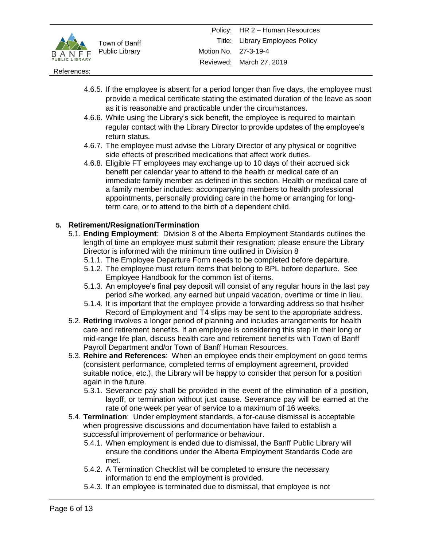

#### References:

- 4.6.5. If the employee is absent for a period longer than five days, the employee must provide a medical certificate stating the estimated duration of the leave as soon as it is reasonable and practicable under the circumstances.
- 4.6.6. While using the Library's sick benefit, the employee is required to maintain regular contact with the Library Director to provide updates of the employee's return status.
- 4.6.7. The employee must advise the Library Director of any physical or cognitive side effects of prescribed medications that affect work duties.
- 4.6.8. Eligible FT employees may exchange up to 10 days of their accrued sick benefit per calendar year to attend to the health or medical care of an immediate family member as defined in this section. Health or medical care of a family member includes: accompanying members to health professional appointments, personally providing care in the home or arranging for longterm care, or to attend to the birth of a dependent child.

### **5. Retirement/Resignation/Termination**

- 5.1. **Ending Employment**: Division 8 of the Alberta Employment Standards outlines the length of time an employee must submit their resignation; please ensure the Library Director is informed with the minimum time outlined in Division 8
	- 5.1.1. The Employee Departure Form needs to be completed before departure.
	- 5.1.2. The employee must return items that belong to BPL before departure. See Employee Handbook for the common list of items.
	- 5.1.3. An employee's final pay deposit will consist of any regular hours in the last pay period s/he worked, any earned but unpaid vacation, overtime or time in lieu.
	- 5.1.4. It is important that the employee provide a forwarding address so that his/her Record of Employment and T4 slips may be sent to the appropriate address.
- 5.2. **Retiring** involves a longer period of planning and includes arrangements for health care and retirement benefits. If an employee is considering this step in their long or mid-range life plan, discuss health care and retirement benefits with Town of Banff Payroll Department and/or Town of Banff Human Resources.
- 5.3. **Rehire and References**: When an employee ends their employment on good terms (consistent performance, completed terms of employment agreement, provided suitable notice, etc.), the Library will be happy to consider that person for a position again in the future.
	- 5.3.1. Severance pay shall be provided in the event of the elimination of a position, layoff, or termination without just cause. Severance pay will be earned at the rate of one week per year of service to a maximum of 16 weeks.
- 5.4. **Termination**: Under employment standards, a for-cause dismissal is acceptable when progressive discussions and documentation have failed to establish a successful improvement of performance or behaviour.
	- 5.4.1. When employment is ended due to dismissal, the Banff Public Library will ensure the conditions under the Alberta Employment Standards Code are met.
	- 5.4.2. A Termination Checklist will be completed to ensure the necessary information to end the employment is provided.
	- 5.4.3. If an employee is terminated due to dismissal, that employee is not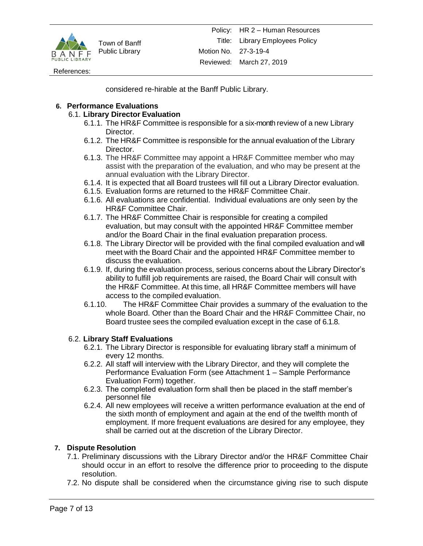

References:

considered re-hirable at the Banff Public Library.

## **6. Performance Evaluations**

### 6.1. **Library Director Evaluation**

- 6.1.1. The HR&F Committee is responsible for a six-month review of a new Library Director.
- 6.1.2. The HR&F Committee is responsible for the annual evaluation of the Library Director.
- 6.1.3. The HR&F Committee may appoint a HR&F Committee member who may assist with the preparation of the evaluation, and who may be present at the annual evaluation with the Library Director.
- 6.1.4. It is expected that all Board trustees will fill out a Library Director evaluation.
- 6.1.5. Evaluation forms are returned to the HR&F Committee Chair.
- 6.1.6. All evaluations are confidential. Individual evaluations are only seen by the HR&F Committee Chair.
- 6.1.7. The HR&F Committee Chair is responsible for creating a compiled evaluation, but may consult with the appointed HR&F Committee member and/or the Board Chair in the final evaluation preparation process.
- 6.1.8. The Library Director will be provided with the final compiled evaluation and will meet with the Board Chair and the appointed HR&F Committee member to discuss the evaluation.
- 6.1.9. If, during the evaluation process, serious concerns about the Library Director's ability to fulfill job requirements are raised, the Board Chair will consult with the HR&F Committee. At this time, all HR&F Committee members will have access to the compiled evaluation.
- 6.1.10. The HR&F Committee Chair provides a summary of the evaluation to the whole Board. Other than the Board Chair and the HR&F Committee Chair, no Board trustee sees the compiled evaluation except in the case of 6.1.8.

## 6.2. **Library Staff Evaluations**

- 6.2.1. The Library Director is responsible for evaluating library staff a minimum of every 12 months.
- 6.2.2. All staff will interview with the Library Director, and they will complete the Performance Evaluation Form (see Attachment 1 – Sample Performance Evaluation Form) together.
- 6.2.3. The completed evaluation form shall then be placed in the staff member's personnel file
- 6.2.4. All new employees will receive a written performance evaluation at the end of the sixth month of employment and again at the end of the twelfth month of employment. If more frequent evaluations are desired for any employee, they shall be carried out at the discretion of the Library Director.

## **7. Dispute Resolution**

- 7.1. Preliminary discussions with the Library Director and/or the HR&F Committee Chair should occur in an effort to resolve the difference prior to proceeding to the dispute resolution.
- 7.2. No dispute shall be considered when the circumstance giving rise to such dispute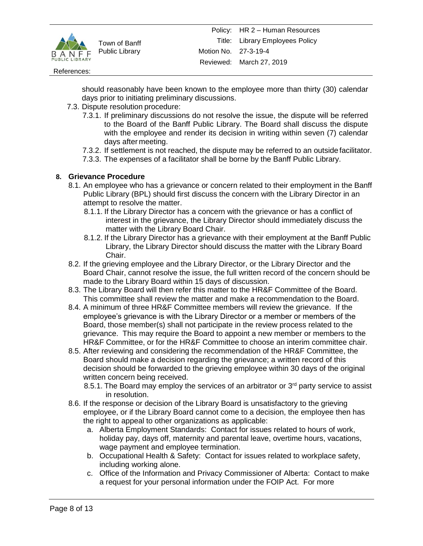

#### References:

should reasonably have been known to the employee more than thirty (30) calendar days prior to initiating preliminary discussions.

- 7.3. Dispute resolution procedure:
	- 7.3.1. If preliminary discussions do not resolve the issue, the dispute will be referred to the Board of the Banff Public Library. The Board shall discuss the dispute with the employee and render its decision in writing within seven (7) calendar days after meeting.
	- 7.3.2. If settlement is not reached, the dispute may be referred to an outside facilitator.
	- 7.3.3. The expenses of a facilitator shall be borne by the Banff Public Library.

### **8. Grievance Procedure**

- 8.1. An employee who has a grievance or concern related to their employment in the Banff Public Library (BPL) should first discuss the concern with the Library Director in an attempt to resolve the matter.
	- 8.1.1. If the Library Director has a concern with the grievance or has a conflict of interest in the grievance, the Library Director should immediately discuss the matter with the Library Board Chair.
	- 8.1.2. If the Library Director has a grievance with their employment at the Banff Public Library, the Library Director should discuss the matter with the Library Board Chair.
- 8.2. If the grieving employee and the Library Director, or the Library Director and the Board Chair, cannot resolve the issue, the full written record of the concern should be made to the Library Board within 15 days of discussion.
- 8.3. The Library Board will then refer this matter to the HR&F Committee of the Board. This committee shall review the matter and make a recommendation to the Board.
- 8.4. A minimum of three HR&F Committee members will review the grievance. If the employee's grievance is with the Library Director or a member or members of the Board, those member(s) shall not participate in the review process related to the grievance. This may require the Board to appoint a new member or members to the HR&F Committee, or for the HR&F Committee to choose an interim committee chair.
- 8.5. After reviewing and considering the recommendation of the HR&F Committee, the Board should make a decision regarding the grievance; a written record of this decision should be forwarded to the grieving employee within 30 days of the original written concern being received.
	- 8.5.1. The Board may employ the services of an arbitrator or  $3<sup>rd</sup>$  party service to assist in resolution.
- 8.6. If the response or decision of the Library Board is unsatisfactory to the grieving employee, or if the Library Board cannot come to a decision, the employee then has the right to appeal to other organizations as applicable:
	- a. Alberta Employment Standards: Contact for issues related to hours of work, holiday pay, days off, maternity and parental leave, overtime hours, vacations, wage payment and employee termination.
	- b. Occupational Health & Safety: Contact for issues related to workplace safety, including working alone.
	- c. Office of the Information and Privacy Commissioner of Alberta: Contact to make a request for your personal information under the FOIP Act. For more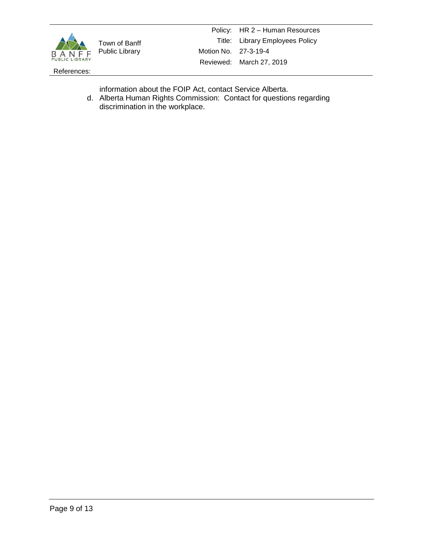

References:

information about the FOIP Act, contact Service Alberta.

d. Alberta Human Rights Commission: Contact for questions regarding discrimination in the workplace.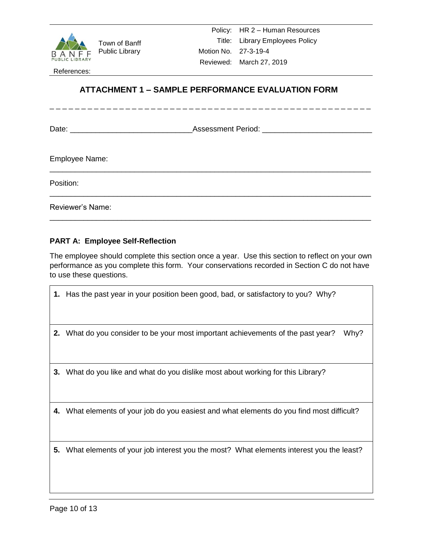

References:

# **ATTACHMENT 1 – SAMPLE PERFORMANCE EVALUATION FORM**

\_\_\_\_\_\_\_\_\_\_\_\_\_\_\_\_\_\_\_\_\_\_\_\_\_\_\_\_\_\_\_\_\_\_\_\_\_\_\_\_\_\_\_\_\_\_\_\_\_\_\_\_\_\_\_\_\_\_\_\_\_\_\_\_\_\_\_\_\_\_\_\_\_\_\_\_

\_\_\_\_\_\_\_\_\_\_\_\_\_\_\_\_\_\_\_\_\_\_\_\_\_\_\_\_\_\_\_\_\_\_\_\_\_\_\_\_\_\_\_\_\_\_\_\_\_\_\_\_\_\_\_\_\_\_\_\_\_\_\_\_\_\_\_\_\_\_\_\_\_\_\_\_

\_\_\_\_\_\_\_\_\_\_\_\_\_\_\_\_\_\_\_\_\_\_\_\_\_\_\_\_\_\_\_\_\_\_\_\_\_\_\_\_\_\_\_\_\_\_\_\_\_\_\_\_\_\_\_\_\_\_\_\_\_\_\_\_\_\_\_\_\_\_\_\_\_\_\_\_

\_\_\_\_\_\_\_\_\_\_\_\_\_\_\_\_\_\_\_\_

Date: \_\_\_\_\_\_\_\_\_\_\_\_\_\_\_\_\_\_\_\_\_\_\_\_\_\_\_\_\_Assessment Period: \_\_\_\_\_\_\_\_\_\_\_\_\_\_\_\_\_\_\_\_\_\_\_\_\_\_

Employee Name:

Position:

Reviewer's Name:

## **PART A: Employee Self-Reflection**

The employee should complete this section once a year. Use this section to reflect on your own performance as you complete this form. Your conservations recorded in Section C do not have to use these questions.

- **1.** Has the past year in your position been good, bad, or satisfactory to you? Why?
- **2.** What do you consider to be your most important achievements of the past year? Why?
- **3.** What do you like and what do you dislike most about working for this Library?
- **4.** What elements of your job do you easiest and what elements do you find most difficult?
- **5.** What elements of your job interest you the most? What elements interest you the least?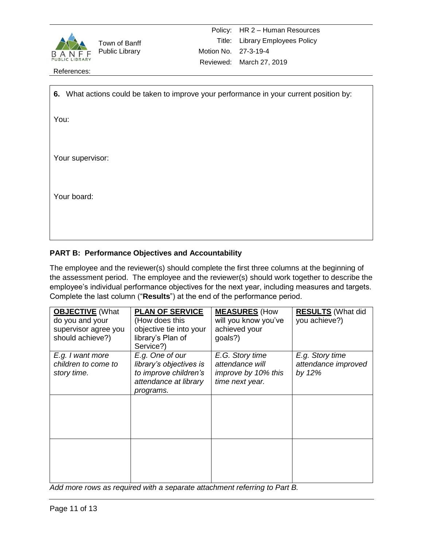

References:

| 6. What actions could be taken to improve your performance in your current position by: |
|-----------------------------------------------------------------------------------------|
| You:                                                                                    |
|                                                                                         |
| Your supervisor:                                                                        |
|                                                                                         |
|                                                                                         |
| Your board:                                                                             |
|                                                                                         |
|                                                                                         |
|                                                                                         |

# **PART B: Performance Objectives and Accountability**

The employee and the reviewer(s) should complete the first three columns at the beginning of the assessment period. The employee and the reviewer(s) should work together to describe the employee's individual performance objectives for the next year, including measures and targets. Complete the last column ("**Results**") at the end of the performance period.

| <b>OBJECTIVE</b> (What<br>do you and your<br>supervisor agree you<br>should achieve?) | <b>PLAN OF SERVICE</b><br>(How does this<br>objective tie into your<br>library's Plan of<br>Service?)     | <b>MEASURES</b> (How<br>will you know you've<br>achieved your<br>goals?)     | <b>RESULTS</b> (What did<br>you achieve?)        |
|---------------------------------------------------------------------------------------|-----------------------------------------------------------------------------------------------------------|------------------------------------------------------------------------------|--------------------------------------------------|
| E.g. I want more<br>children to come to<br>story time.                                | E.g. One of our<br>library's objectives is<br>to improve children's<br>attendance at library<br>programs. | E.G. Story time<br>attendance will<br>improve by 10% this<br>time next year. | E.g. Story time<br>attendance improved<br>by 12% |
|                                                                                       |                                                                                                           |                                                                              |                                                  |
|                                                                                       |                                                                                                           |                                                                              |                                                  |

*Add more rows as required with a separate attachment referring to Part B.*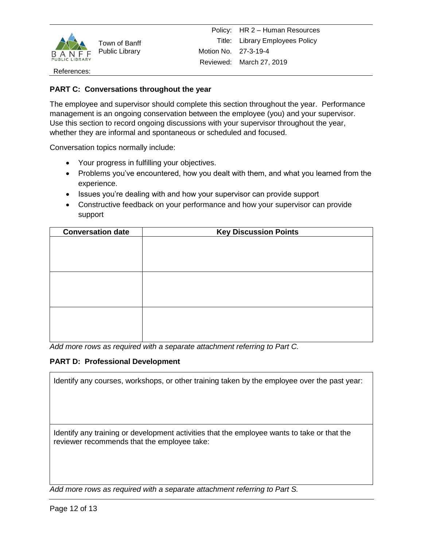

#### References:

### **PART C: Conversations throughout the year**

The employee and supervisor should complete this section throughout the year. Performance management is an ongoing conservation between the employee (you) and your supervisor. Use this section to record ongoing discussions with your supervisor throughout the year, whether they are informal and spontaneous or scheduled and focused.

Conversation topics normally include:

- Your progress in fulfilling your objectives.
- Problems you've encountered, how you dealt with them, and what you learned from the experience.
- Issues you're dealing with and how your supervisor can provide support
- Constructive feedback on your performance and how your supervisor can provide support

| <b>Conversation date</b> | <b>Key Discussion Points</b> |  |
|--------------------------|------------------------------|--|
|                          |                              |  |
|                          |                              |  |
|                          |                              |  |
|                          |                              |  |
|                          |                              |  |
|                          |                              |  |
|                          |                              |  |
|                          |                              |  |
|                          |                              |  |
|                          |                              |  |
|                          |                              |  |

*Add more rows as required with a separate attachment referring to Part C.*

### **PART D: Professional Development**

Identify any courses, workshops, or other training taken by the employee over the past year:

Identify any training or development activities that the employee wants to take or that the reviewer recommends that the employee take:

*Add more rows as required with a separate attachment referring to Part S.*